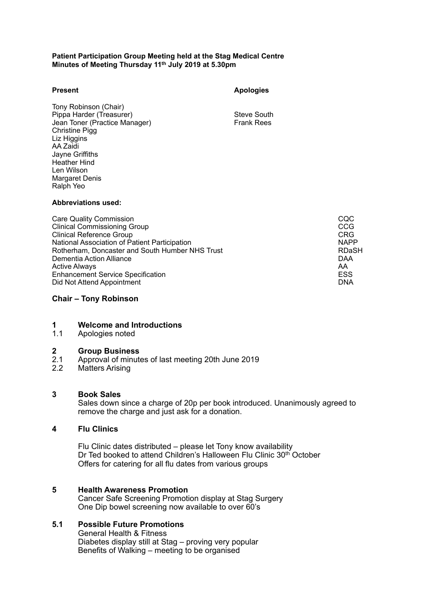### **Patient Participation Group Meeting held at the Stag Medical Centre Minutes of Meeting Thursday 11th July 2019 at 5.30pm**

| <b>Present</b>                                                                                                                                                                                                                | <b>Apologies</b>                 |                                        |
|-------------------------------------------------------------------------------------------------------------------------------------------------------------------------------------------------------------------------------|----------------------------------|----------------------------------------|
| Tony Robinson (Chair)<br>Pippa Harder (Treasurer)<br>Jean Toner (Practice Manager)<br>Christine Pigg<br>Liz Higgins<br>AA Zaidi<br>Jayne Griffiths<br><b>Heather Hind</b><br>Len Wilson<br><b>Margaret Denis</b><br>Ralph Yeo | Steve South<br><b>Frank Rees</b> |                                        |
| <b>Abbreviations used:</b>                                                                                                                                                                                                    |                                  |                                        |
| <b>Care Quality Commission</b><br><b>Clinical Commissioning Group</b><br><b>Clinical Reference Group</b>                                                                                                                      |                                  | <b>CQC</b><br><b>CCG</b><br><b>CRG</b> |

Enhancement Service Specification **ESS** extends the service of the service SSS extends the SSS Did Not Attend Appointment DNA

# **Chair – Tony Robinson**

# **1 Welcome and Introductions**

1.1 Apologies noted

# **2 Group Business**

- $2.1$ <br> $2.2$ 2.1 Approval of minutes of last meeting 20th June 2019
- **Matters Arising**

#### **3 Book Sales**

 Sales down since a charge of 20p per book introduced. Unanimously agreed to remove the charge and just ask for a donation.

 National Association of Patient Participation NAPP Rotherham, Doncaster and South Humber NHS Trust Research Research RDaSH Dementia Action Alliance DAA Active Always AA ACTIVE AND A REPORT OF THE RELEASE AND THE RELEASE AND THE RELEASE AND A RELEASE A RELEASE AN

# **4 Flu Clinics**

 Flu Clinic dates distributed – please let Tony know availability Dr Ted booked to attend Children's Halloween Flu Clinic 30<sup>th</sup> October Offers for catering for all flu dates from various groups

### **5 Health Awareness Promotion**  Cancer Safe Screening Promotion display at Stag Surgery One Dip bowel screening now available to over 60's

# **5.1 Possible Future Promotions**

 General Health & Fitness Diabetes display still at Stag – proving very popular Benefits of Walking – meeting to be organised